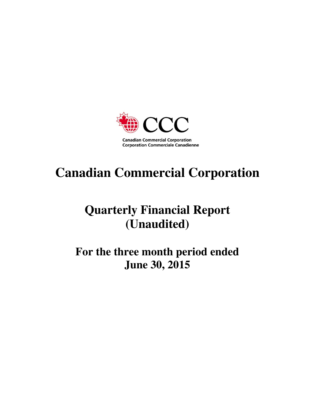

# **Canadian Commercial Corporation**

# **Quarterly Financial Report (Unaudited)**

**For the three month period ended June 30, 2015**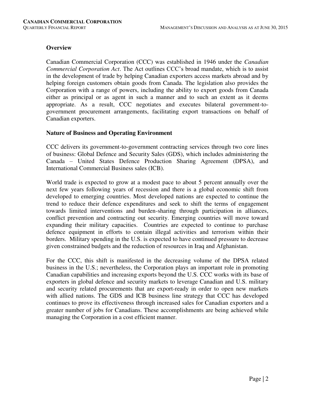# **Overview**

Canadian Commercial Corporation (CCC) was established in 1946 under the *Canadian Commercial Corporation Act*. The Act outlines CCC's broad mandate, which is to assist in the development of trade by helping Canadian exporters access markets abroad and by helping foreign customers obtain goods from Canada. The legislation also provides the Corporation with a range of powers, including the ability to export goods from Canada either as principal or as agent in such a manner and to such an extent as it deems appropriate. As a result, CCC negotiates and executes bilateral government-togovernment procurement arrangements, facilitating export transactions on behalf of Canadian exporters.

#### **Nature of Business and Operating Environment**

CCC delivers its government-to-government contracting services through two core lines of business: Global Defence and Security Sales (GDS), which includes administering the Canada – United States Defence Production Sharing Agreement (DPSA), and International Commercial Business sales (ICB).

World trade is expected to grow at a modest pace to about 5 percent annually over the next few years following years of recession and there is a global economic shift from developed to emerging countries. Most developed nations are expected to continue the trend to reduce their defence expenditures and seek to shift the terms of engagement towards limited interventions and burden-sharing through participation in alliances, conflict prevention and contracting out security. Emerging countries will move toward expanding their military capacities. Countries are expected to continue to purchase defence equipment in efforts to contain illegal activities and terrorism within their borders. Military spending in the U.S. is expected to have continued pressure to decrease given constrained budgets and the reduction of resources in Iraq and Afghanistan.

For the CCC, this shift is manifested in the decreasing volume of the DPSA related business in the U.S.; nevertheless, the Corporation plays an important role in promoting Canadian capabilities and increasing exports beyond the U.S. CCC works with its base of exporters in global defence and security markets to leverage Canadian and U.S. military and security related procurements that are export-ready in order to open new markets with allied nations. The GDS and ICB business line strategy that CCC has developed continues to prove its effectiveness through increased sales for Canadian exporters and a greater number of jobs for Canadians. These accomplishments are being achieved while managing the Corporation in a cost efficient manner.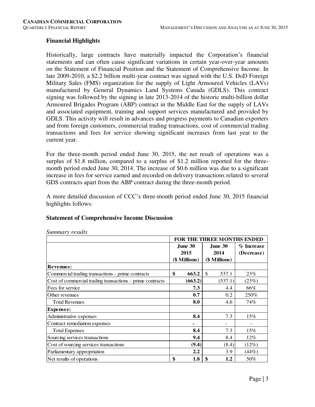# **Financial Highlights**

Historically, large contracts have materially impacted the Corporation's financial statements and can often cause significant variations in certain year-over-year amounts on the Statement of Financial Position and the Statement of Comprehensive Income. In late 2009-2010, a \$2.2 billion multi-year contract was signed with the U.S. DoD Foreign Military Sales (FMS) organization for the supply of Light Armoured Vehicles (LAVs) manufactured by General Dynamics Land Systems Canada (GDLS). This contract signing was followed by the signing in late 2013-2014 of the historic multi-billion dollar Armoured Brigades Program (ABP) contract in the Middle East for the supply of LAVs and associated equipment, training and support services manufactured and provided by GDLS. This activity will result in advances and progress payments to Canadian exporters and from foreign customers, commercial trading transactions, cost of commercial trading transactions and fees for service showing significant increases from last year to the current year.

For the three-month period ended June 30, 2015, the net result of operations was a surplus of \$1.8 million, compared to a surplus of \$1.2 million reported for the threemonth period ended June 30, 2014. The increase of \$0.6 million was due to a significant increase in fees for service earned and recorded on delivery transactions related to several GDS contracts apart from the ABP contract during the three-month period.

A more detailed discussion of CCC's three-month period ended June 30, 2015 financial highlights follows:

# **Statement of Comprehensive Income Discussion**

|                                                           | FOR THE THREE MONTHS ENDED |               |               |            |  |  |  |  |  |
|-----------------------------------------------------------|----------------------------|---------------|---------------|------------|--|--|--|--|--|
|                                                           |                            | June 30       | June 30       | % Increase |  |  |  |  |  |
|                                                           |                            | 2015          | 2014          | (Decrease) |  |  |  |  |  |
|                                                           |                            | (\$ Millions) | (\$ Millions) |            |  |  |  |  |  |
| <b>Revenues:</b>                                          |                            |               |               |            |  |  |  |  |  |
| Commercial trading transactions - prime contracts         | \$                         | 663.2         | \$<br>537.1   | 23%        |  |  |  |  |  |
| Cost of commercial trading transactions - prime contracts |                            | (663.2)       | (537.1)       | (23%)      |  |  |  |  |  |
| Fees for service                                          |                            | 7.3           | 4.4           | 66%        |  |  |  |  |  |
| Other revenues                                            |                            | 0.7           | 0.2           | 250%       |  |  |  |  |  |
| <b>Total Revenues</b>                                     |                            | 8.0           | 4.6           | 74%        |  |  |  |  |  |
| <b>Expenses:</b>                                          |                            |               |               |            |  |  |  |  |  |
| Administrative expenses                                   |                            | 8.4           | 7.3           | 15%        |  |  |  |  |  |
| Contract remediation expenses                             |                            |               |               |            |  |  |  |  |  |
| <b>Total Expenses</b>                                     |                            | 8.4           | 7.3           | 15%        |  |  |  |  |  |
| Sourcing services transactions                            |                            | 9.4           | 8.4           | 12%        |  |  |  |  |  |
| Cost of sourcing services transactions                    |                            | (9.4)         | (8.4)         | (12%)      |  |  |  |  |  |
| Parliamentary appropriation                               |                            | 2.2           | 3.9           | (44%)      |  |  |  |  |  |
| Net results of operations                                 | \$                         | 1.8           | \$<br>1.2     | 50%        |  |  |  |  |  |

*Summary results*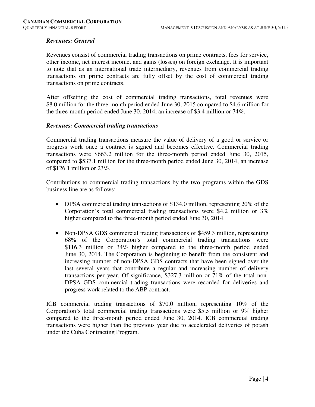# *Revenues: General*

Revenues consist of commercial trading transactions on prime contracts, fees for service, other income, net interest income, and gains (losses) on foreign exchange. It is important to note that as an international trade intermediary, revenues from commercial trading transactions on prime contracts are fully offset by the cost of commercial trading transactions on prime contracts.

After offsetting the cost of commercial trading transactions, total revenues were \$8.0 million for the three-month period ended June 30, 2015 compared to \$4.6 million for the three-month period ended June 30, 2014, an increase of \$3.4 million or 74%.

#### *Revenues: Commercial trading transactions*

Commercial trading transactions measure the value of delivery of a good or service or progress work once a contract is signed and becomes effective. Commercial trading transactions were \$663.2 million for the three-month period ended June 30, 2015, compared to \$537.1 million for the three-month period ended June 30, 2014, an increase of \$126.1 million or 23%.

Contributions to commercial trading transactions by the two programs within the GDS business line are as follows:

- DPSA commercial trading transactions of \$134.0 million, representing 20% of the Corporation's total commercial trading transactions were \$4.2 million or 3% higher compared to the three-month period ended June 30, 2014.
- Non-DPSA GDS commercial trading transactions of \$459.3 million, representing 68% of the Corporation's total commercial trading transactions were \$116.3 million or 34% higher compared to the three-month period ended June 30, 2014. The Corporation is beginning to benefit from the consistent and increasing number of non-DPSA GDS contracts that have been signed over the last several years that contribute a regular and increasing number of delivery transactions per year. Of significance, \$327.3 million or 71% of the total non-DPSA GDS commercial trading transactions were recorded for deliveries and progress work related to the ABP contract.

ICB commercial trading transactions of \$70.0 million, representing 10% of the Corporation's total commercial trading transactions were \$5.5 million or 9% higher compared to the three-month period ended June 30, 2014. ICB commercial trading transactions were higher than the previous year due to accelerated deliveries of potash under the Cuba Contracting Program.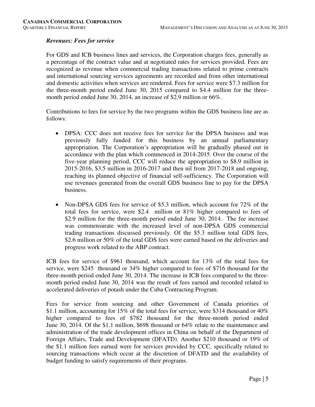# *Revenues: Fees for service*

For GDS and ICB business lines and services, the Corporation charges fees, generally as a percentage of the contract value and at negotiated rates for services provided. Fees are recognized as revenue when commercial trading transactions related to prime contracts and international sourcing services agreements are recorded and from other international and domestic activities when services are rendered. Fees for service were \$7.3 million for the three-month period ended June 30, 2015 compared to \$4.4 million for the threemonth period ended June 30, 2014, an increase of \$2.9 million or 66%.

Contributions to fees for service by the two programs within the GDS business line are as follows:

- DPSA: CCC does not receive fees for service for the DPSA business and was previously fully funded for this business by an annual parliamentary appropriation. The Corporation's appropriation will be gradually phased out in accordance with the plan which commenced in 2014-2015. Over the course of the five-year planning period, CCC will reduce the appropriation to \$8.9 million in 2015-2016, \$3.5 million in 2016-2017 and then nil from 2017-2018 and ongoing, reaching its planned objective of financial self-sufficiency. The Corporation will use revenues generated from the overall GDS business line to pay for the DPSA business.
- Non-DPSA GDS fees for service of \$5.3 million, which account for 72% of the total fees for service, were \$2.4 million or 81% higher compared to fees of \$2.9 million for the three-month period ended June 30, 2014. The fee increase was commensurate with the increased level of non-DPSA GDS commercial trading transactions discussed previously. Of the \$5.3 million total GDS fees, \$2.6 million or 50% of the total GDS fees were earned based on the deliveries and progress work related to the ABP contract.

ICB fees for service of \$961 thousand, which account for 13% of the total fees for service, were \$245 thousand or 34% higher compared to fees of \$716 thousand for the three-month period ended June 30, 2014. The increase in ICB fees compared to the threemonth period ended June 30, 2014 was the result of fees earned and recorded related to accelerated deliveries of potash under the Cuba Contracting Program.

Fees for service from sourcing and other Government of Canada priorities of \$1.1 million, accounting for 15% of the total fees for service, were \$314 thousand or 40% higher compared to fees of \$782 thousand for the three-month period ended June 30, 2014. Of the \$1.1 million, \$698 thousand or 64% relate to the maintenance and administration of the trade development offices in China on behalf of the Department of Foreign Affairs, Trade and Development (DFATD). Another \$210 thousand or 19% of the \$1.1 million fees earned were for services provided by CCC, specifically related to sourcing transactions which occur at the discretion of DFATD and the availability of budget funding to satisfy requirements of their programs.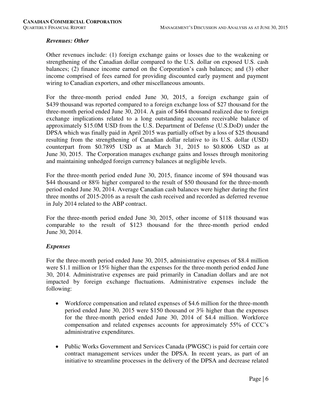# *Revenues: Other*

Other revenues include: (1) foreign exchange gains or losses due to the weakening or strengthening of the Canadian dollar compared to the U.S. dollar on exposed U.S. cash balances; (2) finance income earned on the Corporation's cash balances; and (3) other income comprised of fees earned for providing discounted early payment and payment wiring to Canadian exporters, and other miscellaneous amounts.

For the three-month period ended June 30, 2015, a foreign exchange gain of \$439 thousand was reported compared to a foreign exchange loss of \$27 thousand for the three-month period ended June 30, 2014. A gain of \$464 thousand realized due to foreign exchange implications related to a long outstanding accounts receivable balance of approximately \$15.0M USD from the U.S. Department of Defense (U.S.DoD) under the DPSA which was finally paid in April 2015 was partially offset by a loss of \$25 thousand resulting from the strengthening of Canadian dollar relative to its U.S. dollar (USD) counterpart from \$0.7895 USD as at March 31, 2015 to \$0.8006 USD as at June 30, 2015. The Corporation manages exchange gains and losses through monitoring and maintaining unhedged foreign currency balances at negligible levels.

For the three-month period ended June 30, 2015, finance income of \$94 thousand was \$44 thousand or 88% higher compared to the result of \$50 thousand for the three-month period ended June 30, 2014. Average Canadian cash balances were higher during the first three months of 2015-2016 as a result the cash received and recorded as deferred revenue in July 2014 related to the ABP contract.

For the three-month period ended June 30, 2015, other income of \$118 thousand was comparable to the result of \$123 thousand for the three-month period ended June 30, 2014.

# *Expenses*

For the three-month period ended June 30, 2015, administrative expenses of \$8.4 million were \$1.1 million or 15% higher than the expenses for the three-month period ended June 30, 2014. Administrative expenses are paid primarily in Canadian dollars and are not impacted by foreign exchange fluctuations. Administrative expenses include the following:

- Workforce compensation and related expenses of \$4.6 million for the three-month period ended June 30, 2015 were \$150 thousand or 3% higher than the expenses for the three-month period ended June 30, 2014 of \$4.4 million. Workforce compensation and related expenses accounts for approximately 55% of CCC's administrative expenditures.
- Public Works Government and Services Canada (PWGSC) is paid for certain core contract management services under the DPSA. In recent years, as part of an initiative to streamline processes in the delivery of the DPSA and decrease related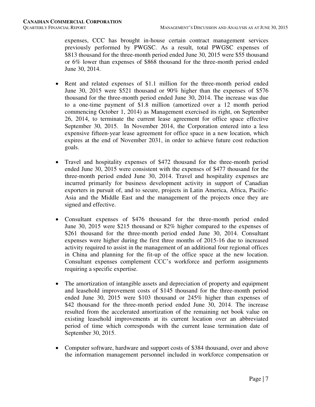expenses, CCC has brought in-house certain contract management services previously performed by PWGSC. As a result, total PWGSC expenses of \$813 thousand for the three-month period ended June 30, 2015 were \$55 thousand or 6% lower than expenses of \$868 thousand for the three-month period ended June 30, 2014.

- Rent and related expenses of \$1.1 million for the three-month period ended June 30, 2015 were \$521 thousand or 90% higher than the expenses of \$576 thousand for the three-month period ended June 30, 2014. The increase was due to a one-time payment of \$1.8 million (amortized over a 12 month period commencing October 1, 2014) as Management exercised its right, on September 26, 2014, to terminate the current lease agreement for office space effective September 30, 2015. In November 2014, the Corporation entered into a less expensive fifteen-year lease agreement for office space in a new location, which expires at the end of November 2031, in order to achieve future cost reduction goals.
- Travel and hospitality expenses of \$472 thousand for the three-month period ended June 30, 2015 were consistent with the expenses of \$477 thousand for the three-month period ended June 30, 2014. Travel and hospitality expenses are incurred primarily for business development activity in support of Canadian exporters in pursuit of, and to secure, projects in Latin America, Africa, Pacific-Asia and the Middle East and the management of the projects once they are signed and effective.
- Consultant expenses of \$476 thousand for the three-month period ended June 30, 2015 were \$215 thousand or 82% higher compared to the expenses of \$261 thousand for the three-month period ended June 30, 2014. Consultant expenses were higher during the first three months of 2015-16 due to increased activity required to assist in the management of an additional four regional offices in China and planning for the fit-up of the office space at the new location. Consultant expenses complement CCC's workforce and perform assignments requiring a specific expertise.
- The amortization of intangible assets and depreciation of property and equipment and leasehold improvement costs of \$145 thousand for the three-month period ended June 30, 2015 were \$103 thousand or 245% higher than expenses of \$42 thousand for the three-month period ended June 30, 2014. The increase resulted from the accelerated amortization of the remaining net book value on existing leasehold improvements at its current location over an abbreviated period of time which corresponds with the current lease termination date of September 30, 2015.
- Computer software, hardware and support costs of \$384 thousand, over and above the information management personnel included in workforce compensation or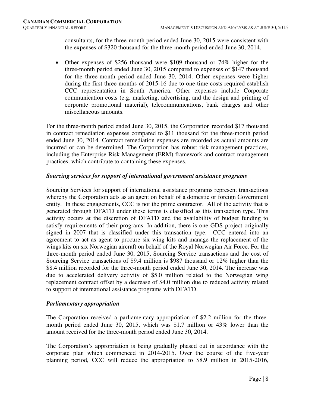consultants, for the three-month period ended June 30, 2015 were consistent with the expenses of \$320 thousand for the three-month period ended June 30, 2014.

 Other expenses of \$256 thousand were \$109 thousand or 74% higher for the three-month period ended June 30, 2015 compared to expenses of \$147 thousand for the three-month period ended June 30, 2014. Other expenses were higher during the first three months of 2015-16 due to one-time costs required establish CCC representation in South America. Other expenses include Corporate communication costs (e.g. marketing, advertising, and the design and printing of corporate promotional material), telecommunications, bank charges and other miscellaneous amounts.

For the three-month period ended June 30, 2015, the Corporation recorded \$17 thousand in contract remediation expenses compared to \$11 thousand for the three-month period ended June 30, 2014. Contract remediation expenses are recorded as actual amounts are incurred or can be determined. The Corporation has robust risk management practices, including the Enterprise Risk Management (ERM) framework and contract management practices, which contribute to containing these expenses.

# *Sourcing services for support of international government assistance programs*

Sourcing Services for support of international assistance programs represent transactions whereby the Corporation acts as an agent on behalf of a domestic or foreign Government entity. In these engagements, CCC is not the prime contractor. All of the activity that is generated through DFATD under these terms is classified as this transaction type. This activity occurs at the discretion of DFATD and the availability of budget funding to satisfy requirements of their programs. In addition, there is one GDS project originally signed in 2007 that is classified under this transaction type. CCC entered into an agreement to act as agent to procure six wing kits and manage the replacement of the wings kits on six Norwegian aircraft on behalf of the Royal Norwegian Air Force. For the three-month period ended June 30, 2015, Sourcing Service transactions and the cost of Sourcing Service transactions of \$9.4 million is \$987 thousand or 12% higher than the \$8.4 million recorded for the three-month period ended June 30, 2014. The increase was due to accelerated delivery activity of \$5.0 million related to the Norwegian wing replacement contract offset by a decrease of \$4.0 million due to reduced activity related to support of international assistance programs with DFATD.

# *Parliamentary appropriation*

The Corporation received a parliamentary appropriation of \$2.2 million for the threemonth period ended June 30, 2015, which was \$1.7 million or 43% lower than the amount received for the three-month period ended June 30, 2014.

The Corporation's appropriation is being gradually phased out in accordance with the corporate plan which commenced in 2014-2015. Over the course of the five-year planning period, CCC will reduce the appropriation to \$8.9 million in 2015-2016,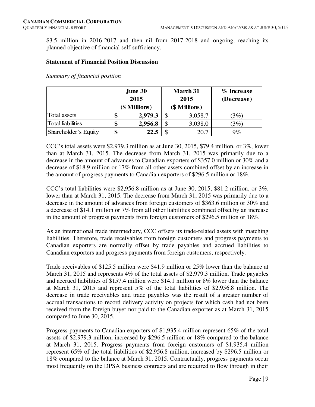\$3.5 million in 2016-2017 and then nil from 2017-2018 and ongoing, reaching its planned objective of financial self-sufficiency.

#### **Statement of Financial Position Discussion**

*Summary of financial position* 

|                          | June 30 |               |      | <b>March 31</b> | $%$ Increase |  |  |
|--------------------------|---------|---------------|------|-----------------|--------------|--|--|
|                          | 2015    |               | 2015 |                 | (Decrease)   |  |  |
|                          |         | (\$ Millions) |      | (\$ Millions)   |              |  |  |
| Total assets             |         | 2,979.3       |      | 3,058.7         | (3%)         |  |  |
| <b>Total liabilities</b> |         | 2,956.8       |      | 3,038.0         | (3%)         |  |  |
| Shareholder's Equity     | \$      | 22.5          |      | 20.7            | 9%           |  |  |

CCC's total assets were \$2,979.3 million as at June 30, 2015, \$79.4 million, or 3%, lower than at March 31, 2015. The decrease from March 31, 2015 was primarily due to a decrease in the amount of advances to Canadian exporters of \$357.0 million or 30% and a decrease of \$18.9 million or 17% from all other assets combined offset by an increase in the amount of progress payments to Canadian exporters of \$296.5 million or 18%.

CCC's total liabilities were \$2,956.8 million as at June 30, 2015, \$81.2 million, or  $3\%$ , lower than at March 31, 2015. The decrease from March 31, 2015 was primarily due to a decrease in the amount of advances from foreign customers of \$363.6 million or 30% and a decrease of \$14.1 million or 7% from all other liabilities combined offset by an increase in the amount of progress payments from foreign customers of \$296.5 million or 18%.

As an international trade intermediary, CCC offsets its trade-related assets with matching liabilities. Therefore, trade receivables from foreign customers and progress payments to Canadian exporters are normally offset by trade payables and accrued liabilities to Canadian exporters and progress payments from foreign customers, respectively.

Trade receivables of \$125.5 million were \$41.9 million or 25% lower than the balance at March 31, 2015 and represents 4% of the total assets of \$2,979.3 million. Trade payables and accrued liabilities of \$157.4 million were \$14.1 million or 8% lower than the balance at March 31, 2015 and represent 5% of the total liabilities of \$2,956.8 million. The decrease in trade receivables and trade payables was the result of a greater number of accrual transactions to record delivery activity on projects for which cash had not been received from the foreign buyer nor paid to the Canadian exporter as at March 31, 2015 compared to June 30, 2015.

Progress payments to Canadian exporters of \$1,935.4 million represent 65% of the total assets of \$2,979.3 million, increased by \$296.5 million or 18% compared to the balance at March 31, 2015. Progress payments from foreign customers of \$1,935.4 million represent 65% of the total liabilities of \$2,956.8 million, increased by \$296.5 million or 18% compared to the balance at March 31, 2015. Contractually, progress payments occur most frequently on the DPSA business contracts and are required to flow through in their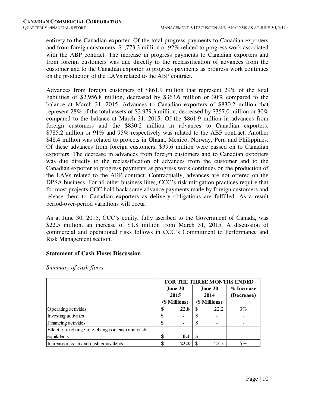entirety to the Canadian exporter. Of the total progress payments to Canadian exporters and from foreign customers, \$1,773.3 million or 92% related to progress work associated with the ABP contract. The increase in progress payments to Canadian exporters and from foreign customers was due directly to the reclassification of advances from the customer and to the Canadian exporter to progress payments as progress work continues on the production of the LAVs related to the ABP contract.

Advances from foreign customers of \$861.9 million that represent 29% of the total liabilities of \$2,956.8 million, decreased by \$363.6 million or 30% compared to the balance at March 31, 2015. Advances to Canadian exporters of \$830.2 million that represent 28% of the total assets of \$2,979.3 million, decreased by \$357.0 million or 30% compared to the balance at March 31, 2015. Of the \$861.9 million in advances from foreign customers and the \$830.2 million in advances to Canadian exporters, \$785.2 million or 91% and 95% respectively was related to the ABP contract. Another \$48.4 million was related to projects in Ghana, Mexico, Norway, Peru and Philippines. Of these advances from foreign customers, \$39.6 million were passed on to Canadian exporters. The decrease in advances from foreign customers and to Canadian exporters was due directly to the reclassification of advances from the customer and to the Canadian exporter to progress payments as progress work continues on the production of the LAVs related to the ABP contract. Contractually, advances are not offered on the DPSA business. For all other business lines, CCC's risk mitigation practices require that for most projects CCC hold back some advance payments made by foreign customers and release them to Canadian exporters as delivery obligations are fulfilled. As a result period-over-period variations will occur.

As at June 30, 2015, CCC's equity, fully ascribed to the Government of Canada, was \$22.5 million, an increase of \$1.8 million from March 31, 2015. A discussion of commercial and operational risks follows in CCC's Commitment to Performance and Risk Management section.

# **Statement of Cash Flows Discussion**

|                                                 | FOR THE THREE MONTHS ENDED     |         |    |           |              |  |  |  |  |
|-------------------------------------------------|--------------------------------|---------|----|-----------|--------------|--|--|--|--|
|                                                 |                                | June 30 |    | June $30$ | $%$ Increase |  |  |  |  |
|                                                 |                                | 2015    |    | 2014      | (Decrease)   |  |  |  |  |
|                                                 | (\$ Millions)<br>(\$ Millions) |         |    |           |              |  |  |  |  |
| Operating activities                            | \$                             | 22.8    | \$ | 22.2      | $3\%$        |  |  |  |  |
| Investing activities                            | \$                             |         | \$ |           |              |  |  |  |  |
| Financing activities                            | \$                             |         | \$ |           |              |  |  |  |  |
| Effect of exchange rate change on cash and cash |                                |         |    |           |              |  |  |  |  |
| equifalents                                     | \$                             | 0.4     | -S |           |              |  |  |  |  |
| Increase in cash and cash equivalents           | \$                             | 23.2    | S  | 22.2      | 5%           |  |  |  |  |

*Summary of cash flows*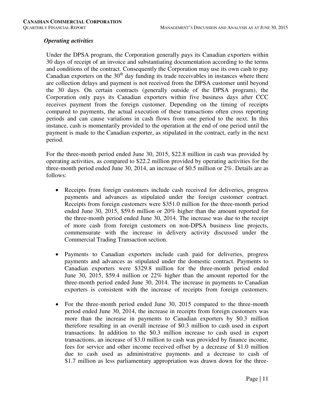#### *Operating activities*

Under the DPSA program, the Corporation generally pays its Canadian exporters within 30 days of receipt of an invoice and substantiating documentation according to the terms and conditions of the contract. Consequently the Corporation may use its own cash to pay Canadian exporters on the  $30<sup>th</sup>$  day funding its trade receivables in instances where there are collection delays and payment is not received from the DPSA customer until beyond the 30 days. On certain contracts (generally outside of the DPSA program), the Corporation only pays its Canadian exporters within five business days after CCC receives payment from the foreign customer. Depending on the timing of receipts compared to payments, the actual execution of these transactions often cross reporting periods and can cause variations in cash flows from one period to the next. In this instance, cash is momentarily provided to the operation at the end of one period until the payment is made to the Canadian exporter, as stipulated in the contract, early in the next period.

For the three-month period ended June 30, 2015, \$22.8 million in cash was provided by operating activities, as compared to \$22.2 million provided by operating activities for the three-month period ended June 30, 2014, an increase of \$0.5 million or 2%. Details are as follows:

- Receipts from foreign customers include cash received for deliveries, progress payments and advances as stipulated under the foreign customer contract. Receipts from foreign customers were \$351.0 million for the three-month period ended June 30, 2015, \$59.6 million or 20% higher than the amount reported for the three-month period ended June 30, 2014. The increase was due to the receipt of more cash from foreign customers on non-DPSA business line projects, commensurate with the increase in delivery activity discussed under the Commercial Trading Transaction section.
- Payments to Canadian exporters include cash paid for deliveries, progress payments and advances as stipulated under the domestic contract. Payments to Canadian exporters were \$329.8 million for the three-month period ended June 30, 2015, \$59.4 million or 22% higher than the amount reported for the three-month period ended June 30, 2014. The increase in payments to Canadian exporters is consistent with the increase of receipts from foreign customers.
- For the three-month period ended June 30, 2015 compared to the three-month period ended June 30, 2014, the increase in receipts from foreign customers was more than the increase in payments to Canadian exporters by \$0.3 million therefore resulting in an overall increase of \$0.3 million to cash used in export transactions. In addition to the \$0.3 million increase to cash used in export transactions, an increase of \$3.0 million to cash was provided by finance income, fees for service and other income received offset by a decrease of \$1.0 million due to cash used as administrative payments and a decrease to cash of \$1.7 million as less parliamentary appropriation was drawn down for the three-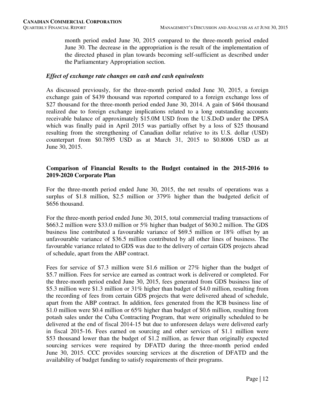month period ended June 30, 2015 compared to the three-month period ended June 30. The decrease in the appropriation is the result of the implementation of the directed phased in plan towards becoming self-sufficient as described under the Parliamentary Appropriation section.

#### *Effect of exchange rate changes on cash and cash equivalents*

As discussed previously, for the three-month period ended June 30, 2015, a foreign exchange gain of \$439 thousand was reported compared to a foreign exchange loss of \$27 thousand for the three-month period ended June 30, 2014. A gain of \$464 thousand realized due to foreign exchange implications related to a long outstanding accounts receivable balance of approximately \$15.0M USD from the U.S.DoD under the DPSA which was finally paid in April 2015 was partially offset by a loss of \$25 thousand resulting from the strengthening of Canadian dollar relative to its U.S. dollar (USD) counterpart from \$0.7895 USD as at March 31, 2015 to \$0.8006 USD as at June 30, 2015.

# **Comparison of Financial Results to the Budget contained in the 2015-2016 to 2019-2020 Corporate Plan**

For the three-month period ended June 30, 2015, the net results of operations was a surplus of \$1.8 million, \$2.5 million or 379% higher than the budgeted deficit of \$656 thousand.

For the three-month period ended June 30, 2015, total commercial trading transactions of \$663.2 million were \$33.0 million or 5% higher than budget of \$630.2 million. The GDS business line contributed a favourable variance of \$69.5 million or 18% offset by an unfavourable variance of \$36.5 million contributed by all other lines of business. The favourable variance related to GDS was due to the delivery of certain GDS projects ahead of schedule, apart from the ABP contract.

Fees for service of \$7.3 million were \$1.6 million or 27% higher than the budget of \$5.7 million. Fees for service are earned as contract work is delivered or completed. For the three-month period ended June 30, 2015, fees generated from GDS business line of \$5.3 million were \$1.3 million or 31% higher than budget of \$4.0 million, resulting from the recording of fees from certain GDS projects that were delivered ahead of schedule, apart from the ABP contract. In addition, fees generated from the ICB business line of \$1.0 million were \$0.4 million or 65% higher than budget of \$0.6 million, resulting from potash sales under the Cuba Contracting Program, that were originally scheduled to be delivered at the end of fiscal 2014-15 but due to unforeseen delays were delivered early in fiscal 2015-16. Fees earned on sourcing and other services of \$1.1 million were \$53 thousand lower than the budget of \$1.2 million, as fewer than originally expected sourcing services were required by DFATD during the three-month period ended June 30, 2015. CCC provides sourcing services at the discretion of DFATD and the availability of budget funding to satisfy requirements of their programs.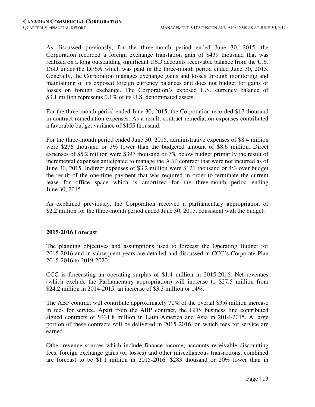As discussed previously, for the three-month period ended June 30, 2015, the Corporation recorded a foreign exchange translation gain of \$439 thousand that was realized on a long outstanding significant USD accounts receivable balance from the U.S. DoD under the DPSA which was paid in the three-month period ended June 30, 2015. Generally, the Corporation manages exchange gains and losses through monitoring and maintaining of its exposed foreign currency balances and does not budget for gains or losses on foreign exchange. The Corporation's exposed U.S. currency balance of \$3.1 million represents 0.1% of its U.S. denominated assets.

For the three-month period ended June 30, 2015, the Corporation recorded \$17 thousand in contract remediation expenses. As a result, contract remediation expenses contributed a favorable budget variance of \$155 thousand.

For the three-month period ended June 30, 2015, administrative expenses of \$8.4 million were \$276 thousand or 3% lower than the budgeted amount of \$8.6 million. Direct expenses of \$5.2 million were \$397 thousand or 7% below budget primarily the result of incremental expenses anticipated to manage the ABP contract that were not incurred as of June 30, 2015. Indirect expenses of \$3.2 million were \$121 thousand or 4% over budget the result of the one-time payment that was required in order to terminate the current lease for office space which is amortized for the three-month period ending June 30, 2015.

As explained previously, the Corporation received a parliamentary appropriation of \$2.2 million for the three-month period ended June 30, 2015, consistent with the budget.

# **2015-2016 Forecast**

The planning objectives and assumptions used to forecast the Operating Budget for 2015-2016 and in subsequent years are detailed and discussed in CCC's Corporate Plan 2015-2016 to 2019-2020.

CCC is forecasting an operating surplus of \$1.4 million in 2015-2016. Net revenues (which exclude the Parliamentary appropriation) will increase to \$27.5 million from \$24.2 million in 2014-2015, an increase of \$3.3 million or 14%.

The ABP contract will contribute approximately 70% of the overall \$3.6 million increase in fees for service. Apart from the ABP contract, the GDS business line contributed signed contracts of \$431.8 million in Latin America and Asia in 2014-2015. A large portion of these contracts will be delivered in 2015-2016, on which fees for service are earned.

Other revenue sources which include finance income, accounts receivable discounting fees, foreign exchange gains (or losses) and other miscellaneous transactions, combined are forecast to be \$1.1 million in 2015-2016, \$283 thousand or 20% lower than in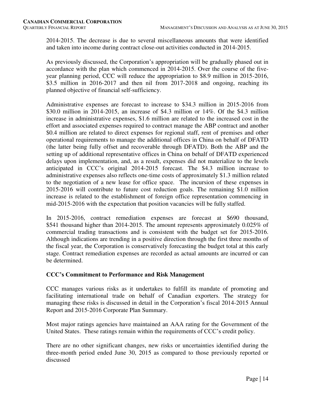2014-2015. The decrease is due to several miscellaneous amounts that were identified and taken into income during contract close-out activities conducted in 2014-2015.

As previously discussed, the Corporation's appropriation will be gradually phased out in accordance with the plan which commenced in 2014-2015. Over the course of the fiveyear planning period, CCC will reduce the appropriation to \$8.9 million in 2015-2016, \$3.5 million in 2016-2017 and then nil from 2017-2018 and ongoing, reaching its planned objective of financial self-sufficiency.

Administrative expenses are forecast to increase to \$34.3 million in 2015-2016 from \$30.0 million in 2014-2015, an increase of \$4.3 million or 14%. Of the \$4.3 million increase in administrative expenses, \$1.6 million are related to the increased cost in the effort and associated expenses required to contract manage the ABP contract and another \$0.4 million are related to direct expenses for regional staff, rent of premises and other operational requirements to manage the additional offices in China on behalf of DFATD (the latter being fully offset and recoverable through DFATD). Both the ABP and the setting up of additional representative offices in China on behalf of DFATD experienced delays upon implementation, and, as a result, expenses did not materialize to the levels anticipated in CCC's original 2014-2015 forecast. The \$4.3 million increase to administrative expenses also reflects one-time costs of approximately \$1.3 million related to the negotiation of a new lease for office space. The incursion of these expenses in 2015-2016 will contribute to future cost reduction goals. The remaining \$1.0 million increase is related to the establishment of foreign office representation commencing in mid-2015-2016 with the expectation that position vacancies will be fully staffed.

In 2015-2016, contract remediation expenses are forecast at \$690 thousand, \$541 thousand higher than 2014-2015. The amount represents approximately 0.025% of commercial trading transactions and is consistent with the budget set for 2015-2016. Although indications are trending in a positive direction through the first three months of the fiscal year, the Corporation is conservatively forecasting the budget total at this early stage. Contract remediation expenses are recorded as actual amounts are incurred or can be determined.

# **CCC's Commitment to Performance and Risk Management**

CCC manages various risks as it undertakes to fulfill its mandate of promoting and facilitating international trade on behalf of Canadian exporters. The strategy for managing these risks is discussed in detail in the Corporation's fiscal 2014-2015 Annual Report and 2015-2016 Corporate Plan Summary.

Most major ratings agencies have maintained an AAA rating for the Government of the United States. These ratings remain within the requirements of CCC's credit policy.

There are no other significant changes, new risks or uncertainties identified during the three-month period ended June 30, 2015 as compared to those previously reported or discussed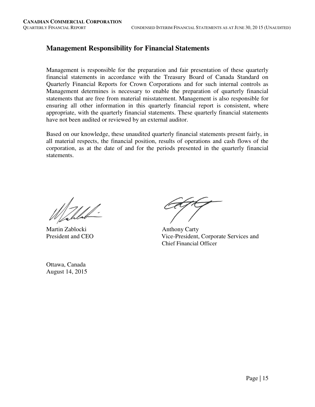# **Management Responsibility for Financial Statements**

Management is responsible for the preparation and fair presentation of these quarterly financial statements in accordance with the Treasury Board of Canada Standard on Quarterly Financial Reports for Crown Corporations and for such internal controls as Management determines is necessary to enable the preparation of quarterly financial statements that are free from material misstatement. Management is also responsible for ensuring all other information in this quarterly financial report is consistent, where appropriate, with the quarterly financial statements. These quarterly financial statements have not been audited or reviewed by an external auditor.

Based on our knowledge, these unaudited quarterly financial statements present fairly, in all material respects, the financial position, results of operations and cash flows of the corporation, as at the date of and for the periods presented in the quarterly financial statements.

Martin Zablocki Anthony Carty

Ottawa, Canada August 14, 2015

President and CEO Vice-President, Corporate Services and Chief Financial Officer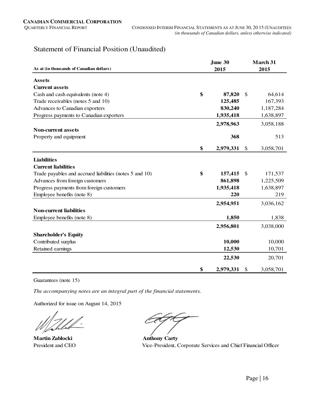# Statement of Financial Position (Unaudited)

|                                                         | June 30         |               | March 31  |
|---------------------------------------------------------|-----------------|---------------|-----------|
| As at (in thousands of Canadian dollars)                | 2015            |               | 2015      |
| <b>Assets</b>                                           |                 |               |           |
| <b>Current assets</b>                                   |                 |               |           |
| Cash and cash equivalents (note 4)                      | \$<br>87,820    | \$            | 64,614    |
| Trade receivables (notes 5 and 10)                      | 125,485         |               | 167,393   |
| Advances to Canadian exporters                          | 830,240         |               | 1,187,284 |
| Progress payments to Canadian exporters                 | 1,935,418       |               | 1,638,897 |
|                                                         | 2,978,963       |               | 3,058,188 |
| <b>Non-current assets</b>                               |                 |               |           |
| Property and equipment                                  | 368             |               | 513       |
|                                                         | \$<br>2,979,331 | $\frac{1}{2}$ | 3,058,701 |
| <b>Liabilities</b>                                      |                 |               |           |
| <b>Current liabilities</b>                              |                 |               |           |
| Trade payables and accrued liabilities (notes 5 and 10) | \$<br>157,415   | \$            | 171,537   |
| Advances from foreign customers                         | 861,898         |               | 1,225,509 |
| Progress payments from foreign customers                | 1,935,418       |               | 1,638,897 |
| Employee benefits (note 8)                              | 220             |               | 219       |
|                                                         | 2,954,951       |               | 3,036,162 |
| <b>Non-current liabilities</b>                          |                 |               |           |
| Employee benefits (note 8)                              | 1,850           |               | 1,838     |
|                                                         | 2,956,801       |               | 3,038,000 |
| <b>Shareholder's Equity</b>                             |                 |               |           |
| Contributed surplus                                     | 10,000          |               | 10,000    |
| Retained earnings                                       | 12,530          |               | 10,701    |
|                                                         | 22,530          |               | 20,701    |
|                                                         | \$<br>2,979,331 | \$            | 3,058,701 |

Guarantees (note 15)

*The accompanying notes are an integral part of the financial statements.*

Authorized for issue on August 14, 2015

**Martin Zablocki Anthony Carty** 

President and CEO Vice-President, Corporate Services and Chief Financial Officer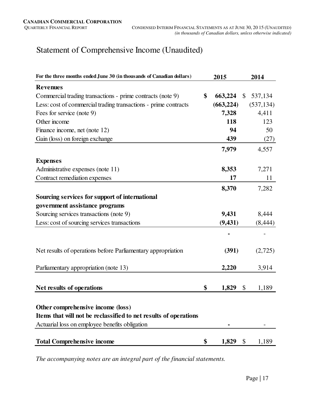# Statement of Comprehensive Income (Unaudited)

| For the three months ended June 30 (in thousands of Canadian dollars)                                 | 2015          |              | 2014       |
|-------------------------------------------------------------------------------------------------------|---------------|--------------|------------|
| <b>Revenues</b>                                                                                       |               |              |            |
| Commercial trading transactions - prime contracts (note 9)                                            | \$<br>663,224 | $\mathbb{S}$ | 537,134    |
| Less: cost of commercial trading transactions - prime contracts                                       | (663, 224)    |              | (537, 134) |
| Fees for service (note 9)                                                                             | 7,328         |              | 4,411      |
| Other income                                                                                          | 118           |              | 123        |
| Finance income, net (note 12)                                                                         | 94            |              | 50         |
| Gain (loss) on foreign exchange                                                                       | 439           |              | (27)       |
|                                                                                                       | 7,979         |              | 4,557      |
| <b>Expenses</b>                                                                                       |               |              |            |
| Administrative expenses (note 11)                                                                     | 8,353         |              | 7,271      |
| Contract remediation expenses                                                                         | 17            |              | 11         |
|                                                                                                       | 8,370         |              | 7,282      |
| Sourcing services for support of international                                                        |               |              |            |
| government assistance programs                                                                        |               |              |            |
| Sourcing services transactions (note 9)                                                               | 9,431         |              | 8,444      |
| Less: cost of sourcing services transactions                                                          | (9, 431)      |              | (8, 444)   |
|                                                                                                       |               |              |            |
| Net results of operations before Parliamentary appropriation                                          | (391)         |              | (2,725)    |
| Parliamentary appropriation (note 13)                                                                 | 2,220         |              | 3,914      |
| Net results of operations                                                                             | \$<br>1,829   | \$           | 1,189      |
| Other comprehensive income (loss)<br>Items that will not be reclassified to net results of operations |               |              |            |
| Actuarial loss on employee benefits obligation                                                        | ٠             |              |            |
| <b>Total Comprehensive income</b>                                                                     | \$<br>1,829   | \$           | 1,189      |

*The accompanying notes are an integral part of the financial statements.*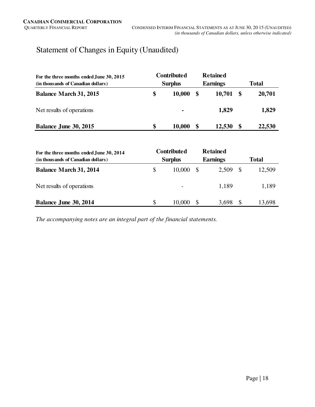# Statement of Changes in Equity (Unaudited)

| For the three months ended June 30, 2015<br>(in thousands of Canadian dollars) | <b>Contributed</b><br><b>Surplus</b> |    | <b>Retained</b><br><b>Earnings</b> | <b>Total</b> |        |  |
|--------------------------------------------------------------------------------|--------------------------------------|----|------------------------------------|--------------|--------|--|
| <b>Balance March 31, 2015</b>                                                  | \$<br>10,000                         | \$ | 10,701                             |              | 20,701 |  |
| Net results of operations                                                      | $\blacksquare$                       |    | 1,829                              |              | 1,829  |  |
| Balance June 30, 2015                                                          | \$<br>10,000                         | S  | 12,530                             |              | 22,530 |  |

| For the three months ended June 30, 2014<br>(in thousands of Canadian dollars) | <b>Contributed</b><br><b>Surplus</b> |    | <b>Retained</b><br><b>Earnings</b> | <b>Total</b> |        |  |
|--------------------------------------------------------------------------------|--------------------------------------|----|------------------------------------|--------------|--------|--|
| <b>Balance March 31, 2014</b>                                                  | \$<br>10.000                         | -S | 2,509                              |              | 12,509 |  |
| Net results of operations                                                      |                                      |    | 1.189                              |              | 1,189  |  |
| Balance June 30, 2014                                                          | \$<br>10,000                         |    | 3.698                              |              | 13,698 |  |

*The accompanying notes are an integral part of the financial statements.*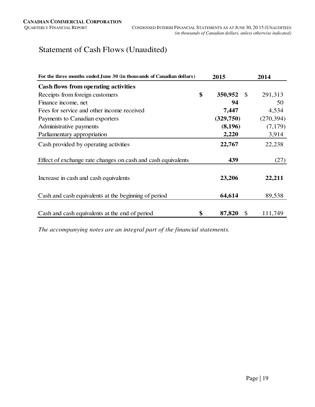# Statement of Cash Flows (Unaudited)

| For the three months ended June 30 (in thousands of Canadian dollars) | 2015                           | 2014       |  |  |
|-----------------------------------------------------------------------|--------------------------------|------------|--|--|
| Cash flows from operating activities                                  |                                |            |  |  |
| Receipts from foreign customers                                       | \$<br>350,952<br>$\mathcal{S}$ | 291,313    |  |  |
| Finance income, net                                                   | 94                             | 50         |  |  |
| Fees for service and other income received                            | 7,447                          | 4,534      |  |  |
| Payments to Canadian exporters                                        | (329,750)                      | (270, 394) |  |  |
| Administrative payments                                               | (8,196)                        | (7,179)    |  |  |
| Parliamentary appropriation                                           | 2,220                          | 3,914      |  |  |
| Cash provided by operating activities                                 | 22,767                         | 22,238     |  |  |
| Effect of exchange rate changes on cash and cash equivalents          | 439                            | (27)       |  |  |
| Increase in cash and cash equivalents                                 | 23,206                         | 22,211     |  |  |
| Cash and cash equivalents at the beginning of period                  | 64,614                         | 89,538     |  |  |
| Cash and cash equivalents at the end of period                        | \$<br>87,820<br>$\mathcal{S}$  | 111,749    |  |  |

*The accompanying notes are an integral part of the financial statements.*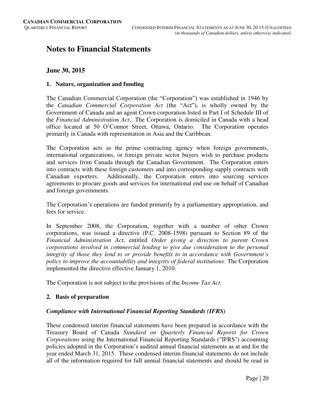# **Notes to Financial Statements**

# **June 30, 2015**

#### **1. Nature, organization and funding**

The Canadian Commercial Corporation (the "Corporation") was established in 1946 by the *Canadian Commercial Corporation Act* (the "Act"), is wholly owned by the Government of Canada and an agent Crown corporation listed in Part I of Schedule III of the *Financial Administration Act*. The Corporation is domiciled in Canada with a head office located at 50 O'Connor Street, Ottawa, Ontario. The Corporation operates primarily in Canada with representation in Asia and the Caribbean.

The Corporation acts as the prime contracting agency when foreign governments, international organizations, or foreign private sector buyers wish to purchase products and services from Canada through the Canadian Government. The Corporation enters into contracts with these foreign customers and into corresponding supply contracts with Canadian exporters. Additionally, the Corporation enters into sourcing services agreements to procure goods and services for international end use on behalf of Canadian and foreign governments.

The Corporation's operations are funded primarily by a parliamentary appropriation, and fees for service.

In September 2008, the Corporation, together with a number of other Crown corporations, was issued a directive (P.C. 2008-1598) pursuant to Section 89 of the *Financial Administration Act*, entitled *Order giving a direction to parent Crown corporations involved in commercial lending to give due consideration to the personal integrity of those they lend to or provide benefits to in accordance with Government's policy to improve the accountability and integrity of federal institutions*. The Corporation implemented the directive effective January 1, 2010.

The Corporation is not subject to the provisions of the *Income Tax Act*.

# **2. Basis of preparation**

# *Compliance with International Financial Reporting Standards (IFRS)*

These condensed interim financial statements have been prepared in accordance with the Treasury Board of Canada *Standard on Quarterly Financial Reports for Crown Corporations* using the International Financial Reporting Standards ("IFRS") accounting policies adopted in the Corporation's audited annual financial statements as at and for the year ended March 31, 2015. These condensed interim financial statements do not include all of the information required for full annual financial statements and should be read in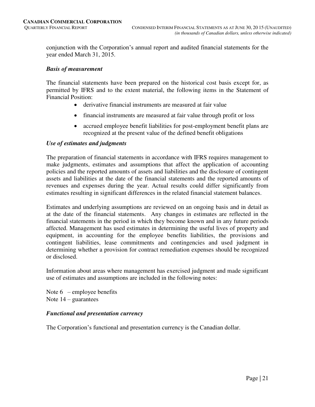conjunction with the Corporation's annual report and audited financial statements for the year ended March 31, 2015.

#### *Basis of measurement*

The financial statements have been prepared on the historical cost basis except for, as permitted by IFRS and to the extent material, the following items in the Statement of Financial Position:

- derivative financial instruments are measured at fair value
- financial instruments are measured at fair value through profit or loss
- accrued employee benefit liabilities for post-employment benefit plans are recognized at the present value of the defined benefit obligations

#### *Use of estimates and judgments*

The preparation of financial statements in accordance with IFRS requires management to make judgments, estimates and assumptions that affect the application of accounting policies and the reported amounts of assets and liabilities and the disclosure of contingent assets and liabilities at the date of the financial statements and the reported amounts of revenues and expenses during the year. Actual results could differ significantly from estimates resulting in significant differences in the related financial statement balances.

Estimates and underlying assumptions are reviewed on an ongoing basis and in detail as at the date of the financial statements. Any changes in estimates are reflected in the financial statements in the period in which they become known and in any future periods affected. Management has used estimates in determining the useful lives of property and equipment, in accounting for the employee benefits liabilities, the provisions and contingent liabilities, lease commitments and contingencies and used judgment in determining whether a provision for contract remediation expenses should be recognized or disclosed.

Information about areas where management has exercised judgment and made significant use of estimates and assumptions are included in the following notes:

Note  $6$  – employee benefits Note  $14$  – guarantees

# *Functional and presentation currency*

The Corporation's functional and presentation currency is the Canadian dollar.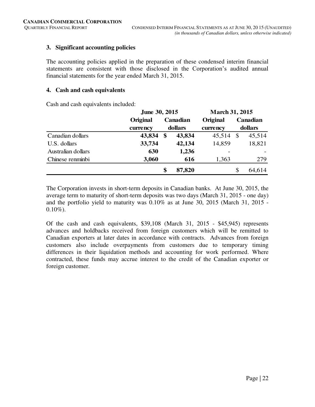# **3. Significant accounting policies**

The accounting policies applied in the preparation of these condensed interim financial statements are consistent with those disclosed in the Corporation's audited annual financial statements for the year ended March 31, 2015.

#### **4. Cash and cash equivalents**

Cash and cash equivalents included:

|                    | June 30, 2015 |                   |          | <b>March 31, 2015</b> |         |          |  |
|--------------------|---------------|-------------------|----------|-----------------------|---------|----------|--|
|                    | Original      |                   | Canadian | Original              |         | Canadian |  |
|                    | currency      | dollars           |          | currency              | dollars |          |  |
| Canadian dollars   | 43,834        | $\boldsymbol{\$}$ | 43,834   | 45,514                | - \$    | 45,514   |  |
| U.S. dollars       | 33,734        |                   | 42,134   | 14,859                |         | 18,821   |  |
| Australian dollars | 630           |                   | 1,236    |                       |         |          |  |
| Chinese renminbi   | 3,060         |                   | 616      | 1,363                 |         | 279      |  |
|                    |               | \$                | 87,820   |                       | \$      | 64,614   |  |

The Corporation invests in short-term deposits in Canadian banks. At June 30, 2015, the average term to maturity of short-term deposits was two days (March 31, 2015 - one day) and the portfolio yield to maturity was 0.10% as at June 30, 2015 (March 31, 2015 -  $0.10\%$ ).

Of the cash and cash equivalents, \$39,108 (March 31, 2015 - \$45,945) represents advances and holdbacks received from foreign customers which will be remitted to Canadian exporters at later dates in accordance with contracts. Advances from foreign customers also include overpayments from customers due to temporary timing differences in their liquidation methods and accounting for work performed. Where contracted, these funds may accrue interest to the credit of the Canadian exporter or foreign customer.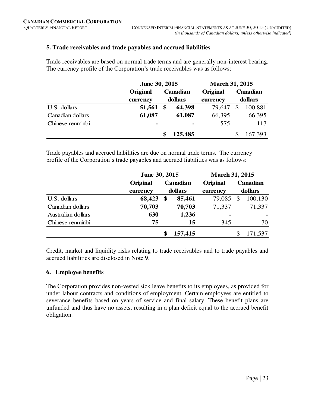# **5. Trade receivables and trade payables and accrued liabilities**

Trade receivables are based on normal trade terms and are generally non-interest bearing. The currency profile of the Corporation's trade receivables was as follows:

|                  | June 30, 2015  |          | <b>March 31, 2015</b> |          |         |          |  |
|------------------|----------------|----------|-----------------------|----------|---------|----------|--|
|                  | Original       | Canadian |                       | Original |         | Canadian |  |
|                  | currency       |          | dollars               | currency | dollars |          |  |
| U.S. dollars     | 51,561         | \$       | 64,398                | 79.647   | \$      | 100,881  |  |
| Canadian dollars | 61,087         |          | 61,087                | 66,395   |         | 66,395   |  |
| Chinese renminbi | $\blacksquare$ |          | ۰                     | 575      |         | 117      |  |
|                  |                |          | 125,485               |          |         | 167,393  |  |

Trade payables and accrued liabilities are due on normal trade terms. The currency profile of the Corporation's trade payables and accrued liabilities was as follows:

|                    | June 30, 2015 |         | <b>March 31, 2015</b> |          |         |          |
|--------------------|---------------|---------|-----------------------|----------|---------|----------|
|                    | Original      |         | Canadian              | Original |         | Canadian |
|                    | currency      | dollars |                       | currency | dollars |          |
| U.S. dollars       | 68,423        | \$      | 85,461                | 79,085   | \$      | 100,130  |
| Canadian dollars   | 70,703        |         | 70,703                | 71,337   |         | 71,337   |
| Australian dollars | 630           |         | 1,236                 | ٠        |         |          |
| Chinese renminbi   | 75            |         | 15                    | 345      |         | 70       |
|                    |               |         | 157,415               |          |         | 171,537  |

Credit, market and liquidity risks relating to trade receivables and to trade payables and accrued liabilities are disclosed in Note 9.

# **6. Employee benefits**

The Corporation provides non-vested sick leave benefits to its employees, as provided for under labour contracts and conditions of employment. Certain employees are entitled to severance benefits based on years of service and final salary. These benefit plans are unfunded and thus have no assets, resulting in a plan deficit equal to the accrued benefit obligation.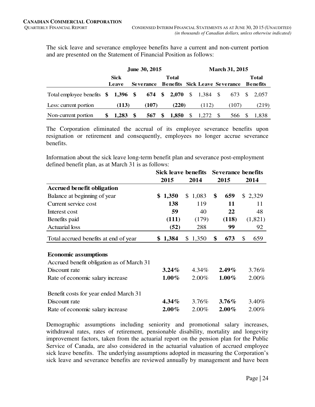The sick leave and severance employee benefits have a current and non-current portion and are presented on the Statement of Financial Position as follows:

|                                                          | June 30, 2015 |  |                  |  |       |    | <b>March 31, 2015</b> |  |                                      |  |              |
|----------------------------------------------------------|---------------|--|------------------|--|-------|----|-----------------------|--|--------------------------------------|--|--------------|
|                                                          | <b>Sick</b>   |  | Total            |  |       |    |                       |  |                                      |  | <b>Total</b> |
|                                                          | Leave         |  | <b>Severance</b> |  |       |    |                       |  | <b>Benefits Sick Leave Severance</b> |  | Benefits     |
| Total employee benefits \$1,396 \$674 \$2,070 \$1,384 \$ |               |  |                  |  |       |    |                       |  | 673 \$                               |  | 2.057        |
| Less: current portion                                    | (113)         |  | (107)            |  | (220) |    | (112)                 |  | (107)                                |  | (219)        |
| Non-current portion                                      | 1.283 \$      |  | 567 \$           |  | 1,850 | \$ | 1,272 \$              |  | 566                                  |  | 1.838        |

The Corporation eliminated the accrual of its employee severance benefits upon resignation or retirement and consequently, employees no longer accrue severance benefits.

Information about the sick leave long-term benefit plan and severance post-employment defined benefit plan, as at March 31 is as follows:

|                                           | <b>Sick leave benefits</b> | <b>Severance benefits</b> |      |          |    |         |
|-------------------------------------------|----------------------------|---------------------------|------|----------|----|---------|
|                                           | 2015                       | 2014                      | 2015 |          |    | 2014    |
| <b>Accrued benefit obligation</b>         |                            |                           |      |          |    |         |
| Balance at beginning of year              | \$1,350                    | \$1,083                   | \$   | 659      |    | \$2,329 |
| Current service cost                      | 138                        | 119                       |      | 11       |    | 11      |
| Interest cost                             | 59                         | 40                        |      | 22       |    | 48      |
| Benefits paid                             | (111)                      | (179)                     |      | (118)    |    | (1,821) |
| <b>Actuarial</b> loss                     | (52)                       | 288                       |      | 99       |    | 92      |
| Total accrued benefits at end of year     | \$1,384                    | \$1,350                   | \$   | 673      | \$ | 659     |
|                                           |                            |                           |      |          |    |         |
| <b>Economic assumptions</b>               |                            |                           |      |          |    |         |
| Accrued benefit obligation as of March 31 |                            |                           |      |          |    |         |
| Discount rate                             | $3.24\%$                   | 4.34%                     |      | $2.49\%$ |    | 3.76%   |
| Rate of economic salary increase          | $1.00\%$                   | 2.00%                     |      | $1.00\%$ |    | 2.00%   |
| Benefit costs for year ended March 31     |                            |                           |      |          |    |         |
| Discount rate                             | $4.34\%$                   | 3.76%                     |      | $3.76\%$ |    | 3.40%   |
| Rate of economic salary increase          | $2.00\%$                   | 2.00%                     |      | $2.00\%$ |    | 2.00%   |

Demographic assumptions including seniority and promotional salary increases, withdrawal rates, rates of retirement, pensionable disability, mortality and longevity improvement factors, taken from the actuarial report on the pension plan for the Public Service of Canada, are also considered in the actuarial valuation of accrued employee sick leave benefits. The underlying assumptions adopted in measuring the Corporation's sick leave and severance benefits are reviewed annually by management and have been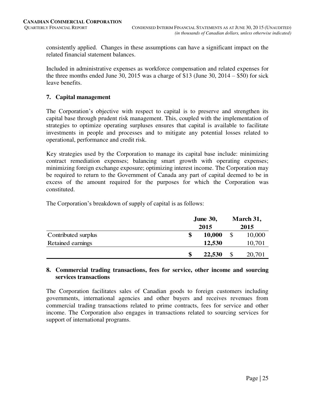consistently applied. Changes in these assumptions can have a significant impact on the related financial statement balances.

Included in administrative expenses as workforce compensation and related expenses for the three months ended June 30, 2015 was a charge of \$13 (June 30, 2014 – \$50) for sick leave benefits.

# **7. Capital management**

The Corporation's objective with respect to capital is to preserve and strengthen its capital base through prudent risk management. This, coupled with the implementation of strategies to optimize operating surpluses ensures that capital is available to facilitate investments in people and processes and to mitigate any potential losses related to operational, performance and credit risk.

Key strategies used by the Corporation to manage its capital base include: minimizing contract remediation expenses; balancing smart growth with operating expenses; minimizing foreign exchange exposure; optimizing interest income. The Corporation may be required to return to the Government of Canada any part of capital deemed to be in excess of the amount required for the purposes for which the Corporation was constituted.

The Corporation's breakdown of supply of capital is as follows:

|                     | <b>June 30,</b> |        |  | March 31, |
|---------------------|-----------------|--------|--|-----------|
|                     |                 | 2015   |  |           |
| Contributed surplus | \$              | 10,000 |  | 10,000    |
| Retained earnings   |                 | 12,530 |  | 10,701    |
|                     | \$              | 22,530 |  | 20,701    |

#### **8. Commercial trading transactions, fees for service, other income and sourcing services transactions**

The Corporation facilitates sales of Canadian goods to foreign customers including governments, international agencies and other buyers and receives revenues from commercial trading transactions related to prime contracts, fees for service and other income. The Corporation also engages in transactions related to sourcing services for support of international programs.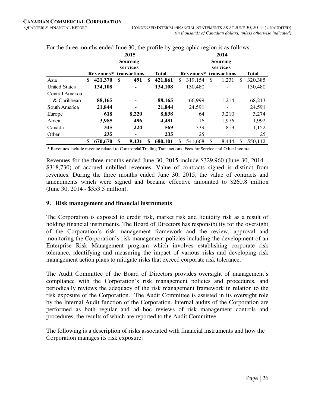|                      |               | 2015<br>Sourcing<br>services |               | 2014<br><b>Sourcing</b><br>services |           |               |              |    |              |
|----------------------|---------------|------------------------------|---------------|-------------------------------------|-----------|---------------|--------------|----|--------------|
|                      | Revenues*     | transactions                 | <b>Total</b>  |                                     | Revenues* |               | transactions |    | <b>Total</b> |
| Asia                 | \$<br>421,370 | \$<br>491                    | \$<br>421,861 | \$.                                 | 319,154   | <sup>\$</sup> | 1,231        | \$ | 320,385      |
| <b>United States</b> | 134,108       | ۰                            | 134,108       |                                     | 130,480   |               |              |    | 130,480      |
| Central America      |               |                              |               |                                     |           |               |              |    |              |
| & Caribbean          | 88,165        |                              | 88,165        |                                     | 66,999    |               | 1,214        |    | 68,213       |
| South America        | 21,844        | ۰                            | 21,844        |                                     | 24,591    |               |              |    | 24,591       |
| Europe               | 618           | 8,220                        | 8,838         |                                     | 64        |               | 3,210        |    | 3,274        |
| Africa               | 3.985         | 496                          | 4.481         |                                     | 16        |               | 1.976        |    | 1,992        |
| Canada               | 345           | 224                          | 569           |                                     | 339       |               | 813          |    | 1,152        |
| Other                | 235           | ۰                            | 235           |                                     | 25        |               |              |    | 25           |
|                      | \$<br>670,670 | \$<br>9.431                  | \$<br>680.101 | S.                                  | 541,668   | <sup>\$</sup> | 8.444        | \$ | 550.112      |

For the three months ended June 30, the profile by geographic region is as follows:

\* Revenues include revenue related to Commercial Trading Transactions, Fees for Service and Other Income.

Revenues for the three months ended June 30, 2015 include \$329,960 (June 30, 2014 – \$318,730) of accrued unbilled revenues. Value of contracts signed is distinct from revenues. During the three months ended June 30, 2015, the value of contracts and amendments which were signed and became effective amounted to \$260.8 million (June 30, 2014 - \$353.5 million).

#### **9. Risk management and financial instruments**

The Corporation is exposed to credit risk, market risk and liquidity risk as a result of holding financial instruments. The Board of Directors has responsibility for the oversight of the Corporation's risk management framework and the review, approval and monitoring the Corporation's risk management policies including the development of an Enterprise Risk Management program which involves establishing corporate risk tolerance, identifying and measuring the impact of various risks and developing risk management action plans to mitigate risks that exceed corporate risk tolerance.

The Audit Committee of the Board of Directors provides oversight of management's compliance with the Corporation's risk management policies and procedures, and periodically reviews the adequacy of the risk management framework in relation to the risk exposure of the Corporation. The Audit Committee is assisted in its oversight role by the Internal Audit function of the Corporation. Internal audits of the Corporation are performed as both regular and ad hoc reviews of risk management controls and procedures, the results of which are reported to the Audit Committee.

The following is a description of risks associated with financial instruments and how the Corporation manages its risk exposure: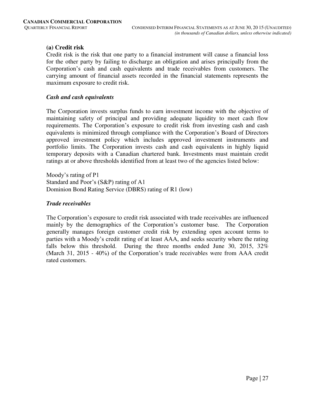# **(a) Credit risk**

Credit risk is the risk that one party to a financial instrument will cause a financial loss for the other party by failing to discharge an obligation and arises principally from the Corporation's cash and cash equivalents and trade receivables from customers. The carrying amount of financial assets recorded in the financial statements represents the maximum exposure to credit risk.

#### *Cash and cash equivalents*

The Corporation invests surplus funds to earn investment income with the objective of maintaining safety of principal and providing adequate liquidity to meet cash flow requirements. The Corporation's exposure to credit risk from investing cash and cash equivalents is minimized through compliance with the Corporation's Board of Directors approved investment policy which includes approved investment instruments and portfolio limits. The Corporation invests cash and cash equivalents in highly liquid temporary deposits with a Canadian chartered bank. Investments must maintain credit ratings at or above thresholds identified from at least two of the agencies listed below:

Moody's rating of P1 Standard and Poor's (S&P) rating of A1 Dominion Bond Rating Service (DBRS) rating of R1 (low)

# *Trade receivables*

The Corporation's exposure to credit risk associated with trade receivables are influenced mainly by the demographics of the Corporation's customer base. The Corporation generally manages foreign customer credit risk by extending open account terms to parties with a Moody's credit rating of at least AAA, and seeks security where the rating falls below this threshold. During the three months ended June 30, 2015, 32% (March 31, 2015 - 40%) of the Corporation's trade receivables were from AAA credit rated customers.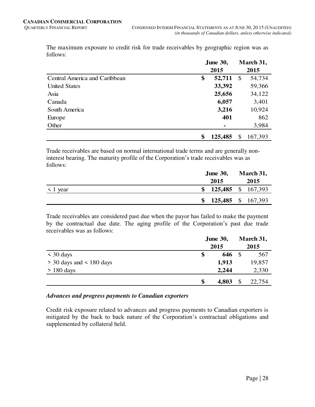The maximum exposure to credit risk for trade receivables by geographic region was as follows:

|                               | <b>June 30,</b> |         | March 31,     |         |
|-------------------------------|-----------------|---------|---------------|---------|
|                               | 2015            |         |               |         |
| Central America and Caribbean | \$              | 52,711  | $\mathcal{S}$ | 54,734  |
| <b>United States</b>          |                 | 33,392  |               | 59,366  |
| Asia                          |                 | 25,656  |               | 34,122  |
| Canada                        |                 | 6,057   |               | 3,401   |
| South America                 |                 | 3,216   |               | 10,924  |
| Europe                        |                 | 401     |               | 862     |
| Other                         |                 |         |               | 3,984   |
|                               | \$              | 125,485 | \$            | 167,393 |

Trade receivables are based on normal international trade terms and are generally noninterest bearing. The maturity profile of the Corporation's trade receivables was as follows:

|               | <b>June 30,</b> | March 31,          |
|---------------|-----------------|--------------------|
|               | 2015            | 2015               |
| $\leq 1$ year |                 | 125,485 \$ 167,393 |
|               |                 | 125,485 \$ 167,393 |

Trade receivables are considered past due when the payor has failed to make the payment by the contractual due date. The aging profile of the Corporation's past due trade receivables was as follows:

|                              | <b>June 30,</b> |      | March 31, |  |
|------------------------------|-----------------|------|-----------|--|
|                              | 2015            | 2015 |           |  |
| $\leq 30$ days               | \$<br>646       | -\$  | 567       |  |
| $>$ 30 days and $<$ 180 days | 1,913           |      | 19,857    |  |
| $> 180$ days                 | 2,244           |      | 2,330     |  |
|                              | \$<br>4,803     | \$   | 22,754    |  |

# *Advances and progress payments to Canadian exporters*

Credit risk exposure related to advances and progress payments to Canadian exporters is mitigated by the back to back nature of the Corporation's contractual obligations and supplemented by collateral held.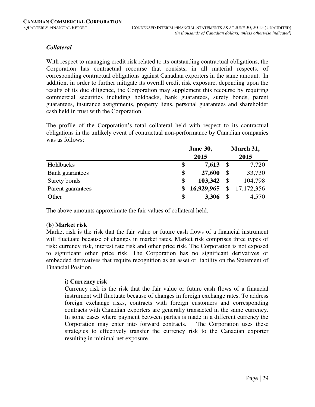# *Collateral*

With respect to managing credit risk related to its outstanding contractual obligations, the Corporation has contractual recourse that consists, in all material respects, of corresponding contractual obligations against Canadian exporters in the same amount. In addition, in order to further mitigate its overall credit risk exposure, depending upon the results of its due diligence, the Corporation may supplement this recourse by requiring commercial securities including holdbacks, bank guarantees, surety bonds, parent guarantees, insurance assignments, property liens, personal guarantees and shareholder cash held in trust with the Corporation.

The profile of the Corporation's total collateral held with respect to its contractual obligations in the unlikely event of contractual non-performance by Canadian companies was as follows:

|                   | <b>June 30,</b> |            |               | March 31,    |
|-------------------|-----------------|------------|---------------|--------------|
|                   |                 | 2015       |               | 2015         |
| Holdbacks         | \$              | 7,613      | $\mathcal{S}$ | 7,720        |
| Bank guarantees   | \$              | 27,600     | S             | 33,730       |
| Surety bonds      | \$              | 103,342    | <b>S</b>      | 104,798      |
| Parent guarantees | \$              | 16,929,965 | \$            | 17, 172, 356 |
| Other             | \$              | 3,306      |               | 4,570        |

The above amounts approximate the fair values of collateral held.

# **(b) Market risk**

Market risk is the risk that the fair value or future cash flows of a financial instrument will fluctuate because of changes in market rates. Market risk comprises three types of risk: currency risk, interest rate risk and other price risk. The Corporation is not exposed to significant other price risk. The Corporation has no significant derivatives or embedded derivatives that require recognition as an asset or liability on the Statement of Financial Position.

# **i) Currency risk**

Currency risk is the risk that the fair value or future cash flows of a financial instrument will fluctuate because of changes in foreign exchange rates. To address foreign exchange risks, contracts with foreign customers and corresponding contracts with Canadian exporters are generally transacted in the same currency. In some cases where payment between parties is made in a different currency the Corporation may enter into forward contracts. The Corporation uses these strategies to effectively transfer the currency risk to the Canadian exporter resulting in minimal net exposure.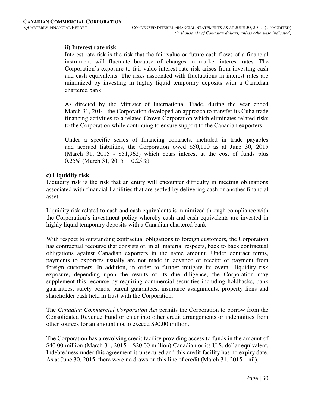# **ii) Interest rate risk**

Interest rate risk is the risk that the fair value or future cash flows of a financial instrument will fluctuate because of changes in market interest rates. The Corporation's exposure to fair-value interest rate risk arises from investing cash and cash equivalents. The risks associated with fluctuations in interest rates are minimized by investing in highly liquid temporary deposits with a Canadian chartered bank.

As directed by the Minister of International Trade, during the year ended March 31, 2014, the Corporation developed an approach to transfer its Cuba trade financing activities to a related Crown Corporation which eliminates related risks to the Corporation while continuing to ensure support to the Canadian exporters.

 Under a specific series of financing contracts, included in trade payables and accrued liabilities, the Corporation owed \$50,110 as at June 30, 2015 (March 31, 2015 - \$51,962) which bears interest at the cost of funds plus  $0.25\%$  (March 31, 2015 – 0.25%).

#### **c) Liquidity risk**

Liquidity risk is the risk that an entity will encounter difficulty in meeting obligations associated with financial liabilities that are settled by delivering cash or another financial asset.

Liquidity risk related to cash and cash equivalents is minimized through compliance with the Corporation's investment policy whereby cash and cash equivalents are invested in highly liquid temporary deposits with a Canadian chartered bank.

With respect to outstanding contractual obligations to foreign customers, the Corporation has contractual recourse that consists of, in all material respects, back to back contractual obligations against Canadian exporters in the same amount. Under contract terms, payments to exporters usually are not made in advance of receipt of payment from foreign customers. In addition, in order to further mitigate its overall liquidity risk exposure, depending upon the results of its due diligence, the Corporation may supplement this recourse by requiring commercial securities including holdbacks, bank guarantees, surety bonds, parent guarantees, insurance assignments, property liens and shareholder cash held in trust with the Corporation.

The *Canadian Commercial Corporation Act* permits the Corporation to borrow from the Consolidated Revenue Fund or enter into other credit arrangements or indemnities from other sources for an amount not to exceed \$90.00 million.

The Corporation has a revolving credit facility providing access to funds in the amount of \$40.00 million (March 31, 2015 – \$20.00 million) Canadian or its U.S. dollar equivalent. Indebtedness under this agreement is unsecured and this credit facility has no expiry date. As at June 30, 2015, there were no draws on this line of credit (March 31, 2015 – nil).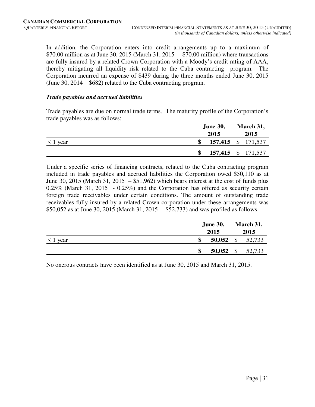In addition, the Corporation enters into credit arrangements up to a maximum of  $$70.00$  million as at June 30, 2015 (March 31, 2015 –  $$70.00$  million) where transactions are fully insured by a related Crown Corporation with a Moody's credit rating of AAA, thereby mitigating all liquidity risk related to the Cuba contracting program. The Corporation incurred an expense of \$439 during the three months ended June 30, 2015 (June 30, 2014 – \$682) related to the Cuba contracting program.

#### *Trade payables and accrued liabilities*

Trade payables are due on normal trade terms. The maturity profile of the Corporation's trade payables was as follows:

|               |     | <b>June 30,</b> | March 31,          |
|---------------|-----|-----------------|--------------------|
|               |     | 2015            | 2015               |
| $\leq 1$ year |     |                 | 157,415 \$ 171,537 |
|               | SS. |                 | 157,415 \$ 171,537 |

Under a specific series of financing contracts, related to the Cuba contracting program included in trade payables and accrued liabilities the Corporation owed \$50,110 as at June 30, 2015 (March 31, 2015 –  $$51,962$ ) which bears interest at the cost of funds plus 0.25% (March 31, 2015 - 0.25%) and the Corporation has offered as security certain foreign trade receivables under certain conditions. The amount of outstanding trade receivables fully insured by a related Crown corporation under these arrangements was \$50,052 as at June 30, 2015 (March 31, 2015 – \$52,733) and was profiled as follows:

|               |      | <b>June 30,</b> |      | March 31,        |  |
|---------------|------|-----------------|------|------------------|--|
|               | 2015 |                 | 2015 |                  |  |
| $\leq 1$ year | \$   |                 |      | 50,052 \$ 52,733 |  |
|               | \$   |                 |      | 50,052 \$ 52,733 |  |

No onerous contracts have been identified as at June 30, 2015 and March 31, 2015.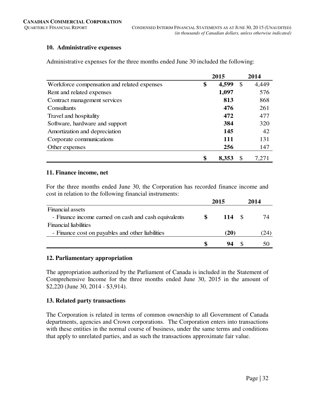# **10. Administrative expenses**

Administrative expenses for the three months ended June 30 included the following:

|                                             | 2015 |       |    | 2014  |
|---------------------------------------------|------|-------|----|-------|
| Workforce compensation and related expenses | \$   | 4,599 | \$ | 4,449 |
| Rent and related expenses                   |      | 1,097 |    | 576   |
| Contract management services                |      | 813   |    | 868   |
| Consultants                                 |      | 476   |    | 261   |
| Travel and hospitality                      |      | 472   |    | 477   |
| Software, hardware and support              |      | 384   |    | 320   |
| Amortization and depreciation               |      | 145   |    | 42    |
| Corporate communications                    |      | 111   |    | 131   |
| Other expenses                              |      | 256   |    | 147   |
|                                             | \$   | 8,353 | S  | 7,271 |

#### **11. Finance income, net**

For the three months ended June 30, the Corporation has recorded finance income and cost in relation to the following financial instruments:

|                                                      | 2015 |      |  | 2014 |
|------------------------------------------------------|------|------|--|------|
| <b>Financial assets</b>                              |      |      |  |      |
| - Finance income earned on cash and cash equivalents | Ж    | 114  |  | 74   |
| <b>Financial liabilities</b>                         |      |      |  |      |
| - Finance cost on payables and other liabilities     |      | (20) |  | 24   |
|                                                      |      | 94   |  | 50   |

# **12. Parliamentary appropriation**

The appropriation authorized by the Parliament of Canada is included in the Statement of Comprehensive Income for the three months ended June 30, 2015 in the amount of \$2,220 (June 30, 2014 - \$3,914).

# **13. Related party transactions**

The Corporation is related in terms of common ownership to all Government of Canada departments, agencies and Crown corporations. The Corporation enters into transactions with these entities in the normal course of business, under the same terms and conditions that apply to unrelated parties, and as such the transactions approximate fair value.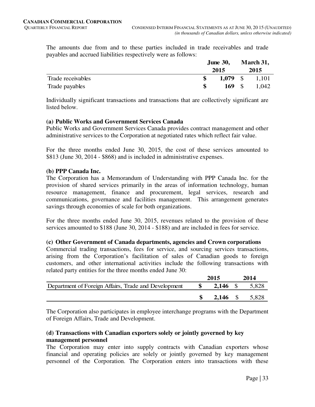The amounts due from and to these parties included in trade receivables and trade payables and accrued liabilities respectively were as follows:

|                   |      | <b>June 30,</b> | March 31, |       |  |
|-------------------|------|-----------------|-----------|-------|--|
|                   | 2015 |                 |           | 2015  |  |
| Trade receivables |      | $1,079$ \$      |           | 1,101 |  |
| Trade payables    |      | $169 \quad$ S   |           | 1,042 |  |

Individually significant transactions and transactions that are collectively significant are listed below.

#### **(a) Public Works and Government Services Canada**

Public Works and Government Services Canada provides contract management and other administrative services to the Corporation at negotiated rates which reflect fair value.

For the three months ended June 30, 2015, the cost of these services amounted to \$813 (June 30, 2014 - \$868) and is included in administrative expenses.

#### **(b) PPP Canada Inc.**

The Corporation has a Memorandum of Understanding with PPP Canada Inc. for the provision of shared services primarily in the areas of information technology, human resource management, finance and procurement, legal services, research and communications, governance and facilities management. This arrangement generates savings through economies of scale for both organizations.

For the three months ended June 30, 2015, revenues related to the provision of these services amounted to \$188 (June 30, 2014 - \$188) and are included in fees for service.

#### **(c) Other Government of Canada departments, agencies and Crown corporations**

Commercial trading transactions, fees for service, and sourcing services transactions, arising from the Corporation's facilitation of sales of Canadian goods to foreign customers, and other international activities include the following transactions with related party entities for the three months ended June 30:

|                                                      |              | 2015       | 2014                  |
|------------------------------------------------------|--------------|------------|-----------------------|
| Department of Foreign Affairs, Trade and Development | $\mathbf{s}$ |            | <b>2,146</b> \$ 5,828 |
|                                                      |              | $2.146$ \$ | 5.828                 |

The Corporation also participates in employee interchange programs with the Department of Foreign Affairs, Trade and Development.

#### **(d) Transactions with Canadian exporters solely or jointly governed by key management personnel**

The Corporation may enter into supply contracts with Canadian exporters whose financial and operating policies are solely or jointly governed by key management personnel of the Corporation. The Corporation enters into transactions with these